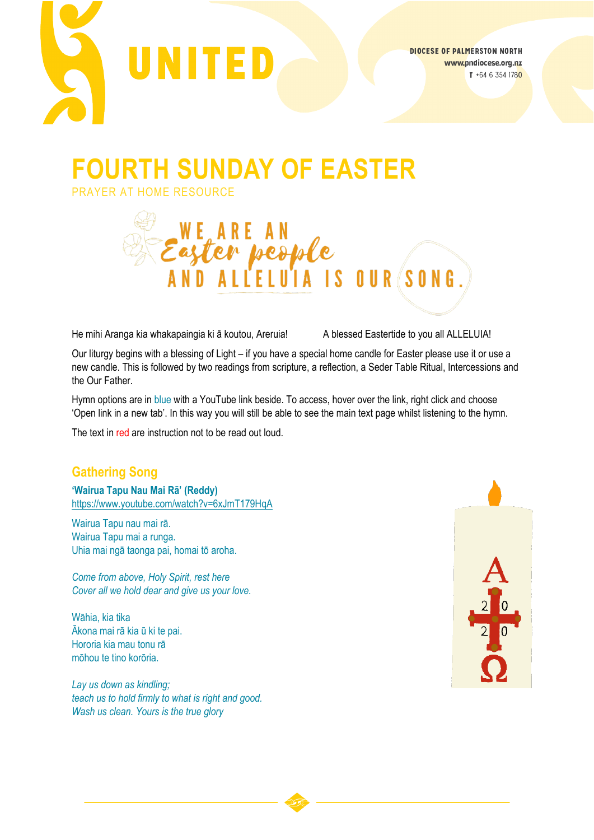

# **FOURTH SUNDAY OF EASTER**

PRAYER AT HOME RESOURCE



He mihi Aranga kia whakapaingia ki ā koutou, Areruia! A blessed Eastertide to you all ALLELUIA!

Our liturgy begins with a blessing of Light – if you have a special home candle for Easter please use it or use a new candle. This is followed by two readings from scripture, a reflection, a Seder Table Ritual, Intercessions and the Our Father.

Hymn options are in blue with a YouTube link beside. To access, hover over the link, right click and choose 'Open link in a new tab'. In this way you will still be able to see the main text page whilst listening to the hymn.

The text in red are instruction not to be read out loud.

## **Gathering Song**

**'Wairua Tapu Nau Mai Rā' (Reddy)** <https://www.youtube.com/watch?v=6xJmT179HqA>

Wairua Tapu nau mai rā. Wairua Tapu mai a runga. Uhia mai ngā taonga pai, homai tō aroha.

*Come from above, Holy Spirit, rest here Cover all we hold dear and give us your love.*

Wāhia, kia tika Ākona mai rā kia ū ki te pai. Hororia kia mau tonu rā mōhou te tino korōria.

*Lay us down as kindling; teach us to hold firmly to what is right and good. Wash us clean. Yours is the true glory*

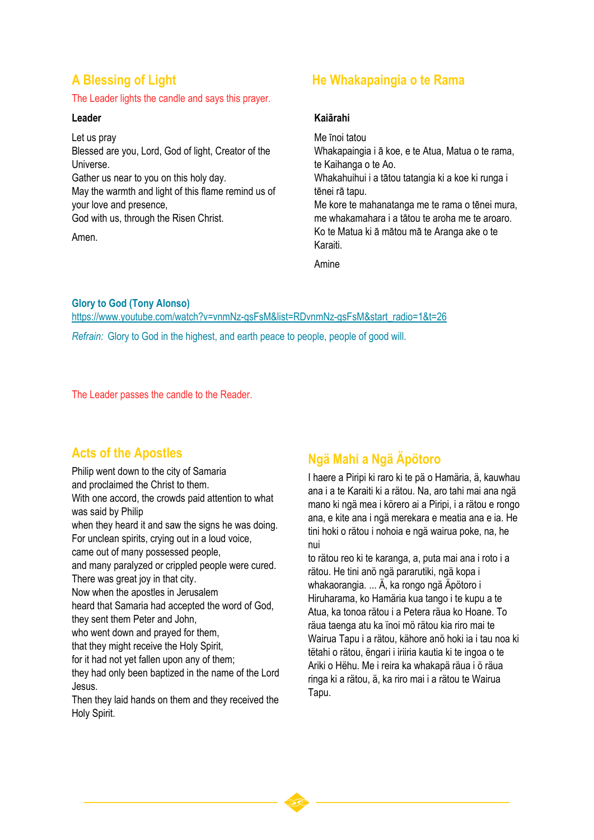#### The Leader lights the candle and says this prayer.

#### **Leader**

Let us pray Blessed are you, Lord, God of light, Creator of the Universe. Gather us near to you on this holy day. May the warmth and light of this flame remind us of your love and presence, God with us, through the Risen Christ. Amen.

### **A Blessing of Light He Whakapaingia o te Rama**

#### **Kaiārahi**

Me īnoi tatou Whakapaingia i ā koe, e te Atua, Matua o te rama, te Kaihanga o te Ao. Whakahuihui i a tātou tatangia ki a koe ki runga i tēnei rā tapu. Me kore te mahanatanga me te rama o tēnei mura, me whakamahara i a tātou te aroha me te aroaro. Ko te Matua ki ā mātou mā te Aranga ake o te Karaiti.

Amine

**Glory to God (Tony Alonso)**

[https://www.youtube.com/watch?v=vnmNz](https://www.youtube.com/watch?v=vnmNz-gsFsM&list=RDvnmNz-gsFsM&start_radio=1&t=26)-gsFsM&list=RDvnmNz-gsFsM&start\_radio=1&t=26 *Refrain:* Glory to God in the highest, and earth peace to people, people of good will.

The Leader passes the candle to the Reader.

### **Acts of the Apostles**

Philip went down to the city of Samaria and proclaimed the Christ to them. With one accord, the crowds paid attention to what was said by Philip when they heard it and saw the signs he was doing. For unclean spirits, crying out in a loud voice, came out of many possessed people, and many paralyzed or crippled people were cured. There was great joy in that city. Now when the apostles in Jerusalem heard that Samaria had accepted the word of God, they sent them Peter and John, who went down and prayed for them,

that they might receive the Holy Spirit,

for it had not yet fallen upon any of them;

they had only been baptized in the name of the Lord Jesus.

Then they laid hands on them and they received the Holy Spirit.

### **Ngä Mahi a Ngä Äpötoro**

I haere a Piripi ki raro ki te pä o Hamäria, ä, kauwhau ana i a te Karaiti ki a rätou. Na, aro tahi mai ana ngä mano ki ngä mea i körero ai a Piripi, i a rätou e rongo ana, e kite ana i ngä merekara e meatia ana e ia. He tini hoki o rätou i nohoia e ngä wairua poke, na, he nui

to rätou reo ki te karanga, a, puta mai ana i roto i a rätou. He tini anö ngä pararutiki, ngä kopa i whakaorangia. ... Ä, ka rongo ngä Äpötoro i Hiruharama, ko Hamäria kua tango i te kupu a te Atua, ka tonoa rätou i a Petera räua ko Hoane. To räua taenga atu ka ïnoi mö rätou kia riro mai te Wairua Tapu i a rätou, kähore anö hoki ia i tau noa ki tëtahi o rätou, ëngari i iriiria kautia ki te ingoa o te Ariki o Hëhu. Me i reira ka whakapä räua i ö räua ringa ki a rätou, ä, ka riro mai i a rätou te Wairua Tapu.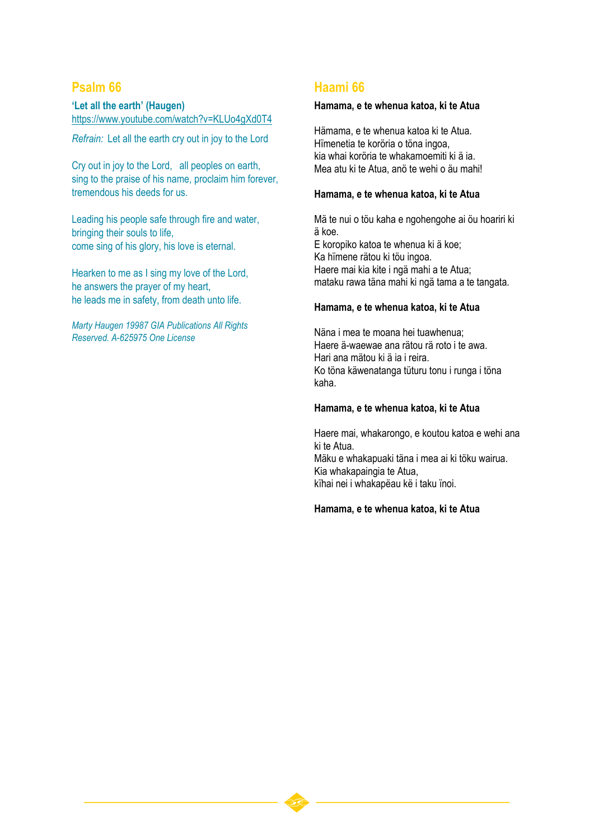### **Psalm 66**

**'Let all the earth' (Haugen)** <https://www.youtube.com/watch?v=KLUo4gXd0T4>

*Refrain:* Let all the earth cry out in joy to the Lord

Cry out in joy to the Lord, all peoples on earth, sing to the praise of his name, proclaim him forever, tremendous his deeds for us.

Leading his people safe through fire and water, bringing their souls to life, come sing of his glory, his love is eternal.

Hearken to me as I sing my love of the Lord, he answers the prayer of my heart, he leads me in safety, from death unto life.

*Marty Haugen 19987 GIA Publications All Rights Reserved. A-625975 One License*

### **Haami 66**

#### **Hamama, e te whenua katoa, ki te Atua**

Hämama, e te whenua katoa ki te Atua. Hïmenetia te koröria o töna ingoa, kia whai koröria te whakamoemiti ki ä ia. Mea atu ki te Atua, anö te wehi o äu mahi!

#### **Hamama, e te whenua katoa, ki te Atua**

Mä te nui o töu kaha e ngohengohe ai öu hoariri ki ä koe. E koropiko katoa te whenua ki ä koe; Ka hïmene rätou ki töu ingoa. Haere mai kia kite i ngä mahi a te Atua; mataku rawa täna mahi ki ngä tama a te tangata.

#### **Hamama, e te whenua katoa, ki te Atua**

Näna i mea te moana hei tuawhenua; Haere ä-waewae ana rätou rä roto i te awa. Hari ana mätou ki ä ia i reira. Ko töna käwenatanga tüturu tonu i runga i töna kaha.

#### **Hamama, e te whenua katoa, ki te Atua**

Haere mai, whakarongo, e koutou katoa e wehi ana ki te Atua.

Mäku e whakapuaki täna i mea ai ki töku wairua. Kia whakapaingia te Atua, kïhai nei i whakapëau kë i taku ïnoi.

#### **Hamama, e te whenua katoa, ki te Atua**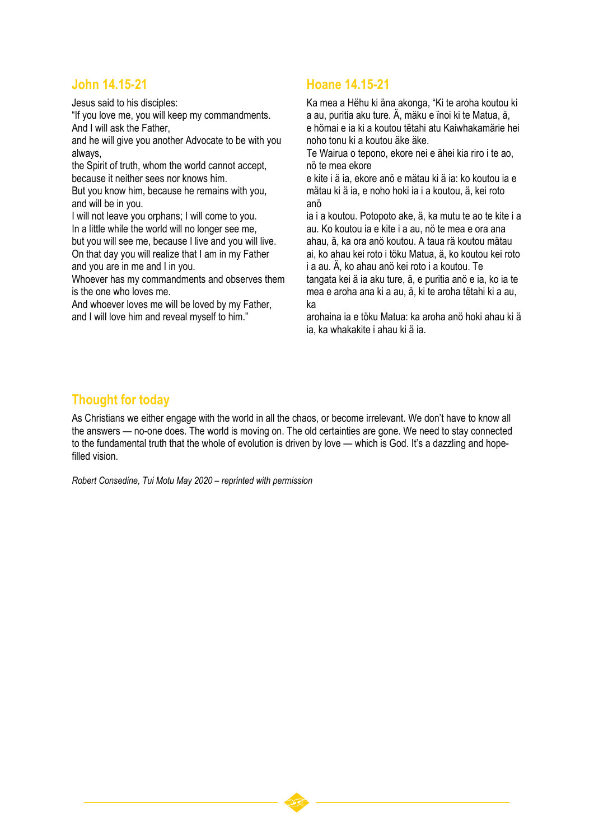### **John 14.15-21**

Jesus said to his disciples:

"If you love me, you will keep my commandments. And I will ask the Father,

and he will give you another Advocate to be with you always,

the Spirit of truth, whom the world cannot accept, because it neither sees nor knows him.

But you know him, because he remains with you, and will be in you.

I will not leave you orphans; I will come to you. In a little while the world will no longer see me, but you will see me, because I live and you will live. On that day you will realize that I am in my Father and you are in me and I in you.

Whoever has my commandments and observes them is the one who loves me.

And whoever loves me will be loved by my Father, and I will love him and reveal myself to him."

### **Hoane 14.15-21**

Ka mea a Hëhu ki äna akonga, "Ki te aroha koutou ki a au, puritia aku ture. Ä, mäku e ïnoi ki te Matua, ä, e hömai e ia ki a koutou tëtahi atu Kaiwhakamärie hei noho tonu ki a koutou äke äke.

Te Wairua o tepono, ekore nei e ähei kia riro i te ao, nö te mea ekore

e kite i ä ia, ekore anö e mätau ki ä ia: ko koutou ia e mätau ki ä ia, e noho hoki ia i a koutou, ä, kei roto anö

ia i a koutou. Potopoto ake, ä, ka mutu te ao te kite i a au. Ko koutou ia e kite i a au, nö te mea e ora ana ahau, ä, ka ora anö koutou. A taua rä koutou mätau ai, ko ahau kei roto i töku Matua, ä, ko koutou kei roto i a au. Ä, ko ahau anö kei roto i a koutou. Te tangata kei ä ia aku ture, ä, e puritia anö e ia, ko ia te mea e aroha ana ki a au, ä, ki te aroha tëtahi ki a au, ka

arohaina ia e töku Matua: ka aroha anö hoki ahau ki ä ia, ka whakakite i ahau ki ä ia.

### **Thought for today**

As Christians we either engage with the world in all the chaos, or become irrelevant. We don't have to know all the answers — no-one does. The world is moving on. The old certainties are gone. We need to stay connected to the fundamental truth that the whole of evolution is driven by love — which is God. It's a dazzling and hopefilled vision.

*Robert Consedine, Tui Motu May 2020 – reprinted with permission*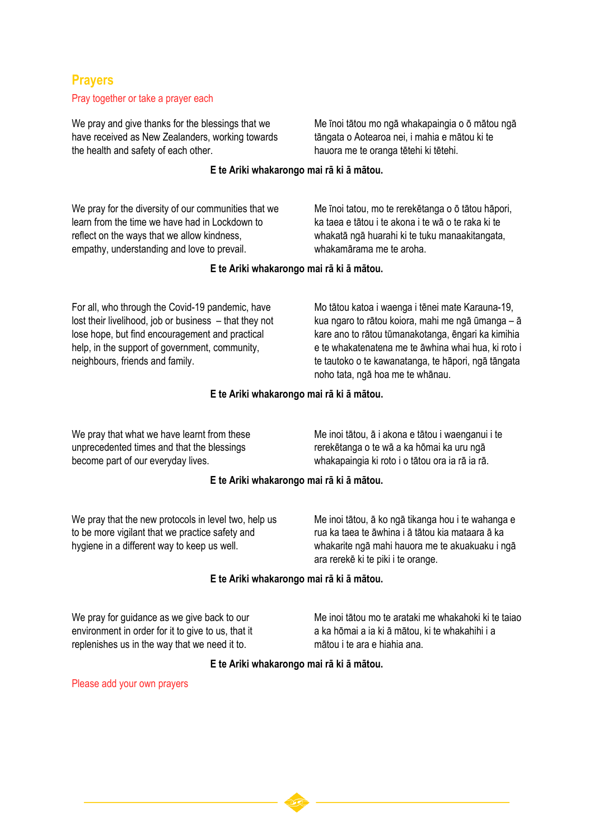### **Prayers**

#### Pray together or take a prayer each

We pray and give thanks for the blessings that we have received as New Zealanders, working towards the health and safety of each other.

Me īnoi tātou mo ngā whakapaingia o ō mātou ngā tāngata o Aotearoa nei, i mahia e mātou ki te hauora me te oranga tētehi ki tētehi.

#### **E te Ariki whakarongo mai rā ki ā mātou.**

We pray for the diversity of our communities that we learn from the time we have had in Lockdown to reflect on the ways that we allow kindness, empathy, understanding and love to prevail.

Me īnoi tatou, mo te rerekētanga o ō tātou hāpori, ka taea e tātou i te akona i te wā o te raka ki te whakatā ngā huarahi ki te tuku manaakitangata, whakamārama me te aroha.

#### **E te Ariki whakarongo mai rā ki ā mātou.**

For all, who through the Covid-19 pandemic, have lost their livelihood, job or business – that they not lose hope, but find encouragement and practical help, in the support of government, community, neighbours, friends and family.

Mo tātou katoa i waenga i tēnei mate Karauna-19, kua ngaro to rātou koiora, mahi me ngā ūmanga – ā kare ano to rātou tūmanakotanga, ēngari ka kimihia e te whakatenatena me te āwhina whai hua, ki roto i te tautoko o te kawanatanga, te hāpori, ngā tāngata noho tata, ngā hoa me te whānau.

#### **E te Ariki whakarongo mai rā ki ā mātou.**

We pray that what we have learnt from these unprecedented times and that the blessings become part of our everyday lives.

Me inoi tātou, ā i akona e tātou i waenganui i te rerekētanga o te wā a ka hōmai ka uru ngā whakapaingia ki roto i o tātou ora ia rā ia rā.

#### **E te Ariki whakarongo mai rā ki ā mātou.**

We pray that the new protocols in level two, help us to be more vigilant that we practice safety and hygiene in a different way to keep us well.

Me inoi tātou, ā ko ngā tikanga hou i te wahanga e rua ka taea te āwhina i ā tātou kia mataara ā ka whakarite ngā mahi hauora me te akuakuaku i ngā ara rerekē ki te piki i te orange.

#### **E te Ariki whakarongo mai rā ki ā mātou.**

We pray for quidance as we give back to our environment in order for it to give to us, that it replenishes us in the way that we need it to.

Me inoi tātou mo te arataki me whakahoki ki te taiao a ka hōmai a ia ki ā mātou, ki te whakahihi i a mātou i te ara e hiahia ana.

#### **E te Ariki whakarongo mai rā ki ā mātou.**

Please add your own prayers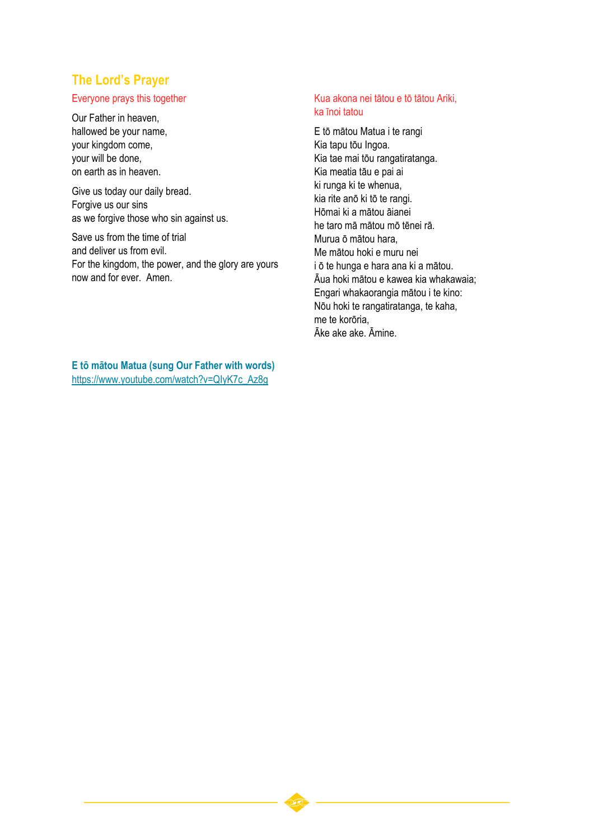### **The Lord's Prayer**

#### Everyone prays this together

Our Father in heaven, hallowed be your name, your kingdom come, your will be done, on earth as in heaven.

Give us today our daily bread. Forgive us our sins as we forgive those who sin against us.

Save us from the time of trial and deliver us from evil. For the kingdom, the power, and the glory are yours now and for ever. Amen.

#### Kua akona nei tātou e tō tātou Ariki, ka īnoi tatou

E tō mātou Matua i te rangi Kia tapu tōu Ingoa. Kia tae mai tōu rangatiratanga. Kia meatia tāu e pai ai ki runga ki te whenua, kia rite anō ki tō te rangi. Hōmai ki a mātou āianei he taro mā mātou mō tēnei rā. Murua ō mātou hara, Me mātou hoki e muru nei i ō te hunga e hara ana ki a mātou. Āua hoki mātou e kawea kia whakawaia; Engari whakaorangia mātou i te kino: Nōu hoki te rangatiratanga, te kaha, me te korōria, Āke ake ake. Āmine.

**E tō mātou Matua (sung Our Father with words)** [https://www.youtube.com/watch?v=QIyK7c\\_Az8g](https://www.youtube.com/watch?v=QIyK7c_Az8g)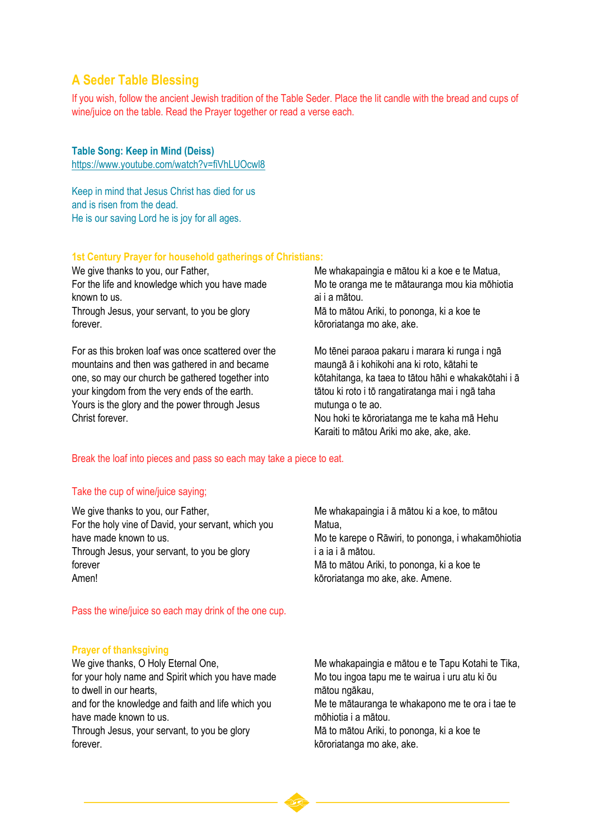### **A Seder Table Blessing**

If you wish, follow the ancient Jewish tradition of the Table Seder. Place the lit candle with the bread and cups of wine/juice on the table. Read the Prayer together or read a verse each.

#### **Table Song: Keep in Mind (Deiss)**

<https://www.youtube.com/watch?v=fiVhLUOcwl8>

Keep in mind that Jesus Christ has died for us and is risen from the dead. He is our saving Lord he is joy for all ages.

#### **1st Century Prayer for household gatherings of Christians:**

We give thanks to you, our Father, For the life and knowledge which you have made known to us.

Through Jesus, your servant, to you be glory forever.

For as this broken loaf was once scattered over the mountains and then was gathered in and became one, so may our church be gathered together into your kingdom from the very ends of the earth. Yours is the glory and the power through Jesus Christ forever.

Me whakapaingia e mātou ki a koe e te Matua, Mo te oranga me te mātauranga mou kia mōhiotia ai i a mātou. Mā to mātou Ariki, to pononga, ki a koe te kōroriatanga mo ake, ake.

Mo tēnei paraoa pakaru i marara ki runga i ngā maungā ā i kohikohi ana ki roto, kātahi te kōtahitanga, ka taea to tātou hāhi e whakakōtahi i ā tātou ki roto i tō rangatiratanga mai i ngā taha mutunga o te ao. Nou hoki te kōroriatanga me te kaha mā Hehu Karaiti to mātou Ariki mo ake, ake, ake.

#### Break the loaf into pieces and pass so each may take a piece to eat.

#### Take the cup of wine/juice saying;

We give thanks to you, our Father, For the holy vine of David, your servant, which you have made known to us. Through Jesus, your servant, to you be glory forever Amen!

Me whakapaingia i ā mātou ki a koe, to mātou Matua, Mo te karepe o Rāwiri, to pononga, i whakamōhiotia i a ia i ā mātou. Mā to mātou Ariki, to pononga, ki a koe te kōroriatanga mo ake, ake. Amene.

Pass the wine/juice so each may drink of the one cup.

#### **Prayer of thanksgiving**

We give thanks, O Holy Eternal One, for your holy name and Spirit which you have made to dwell in our hearts, and for the knowledge and faith and life which you have made known to us. Through Jesus, your servant, to you be glory forever.

Me whakapaingia e mātou e te Tapu Kotahi te Tika, Mo tou ingoa tapu me te wairua i uru atu ki ōu mātou ngākau, Me te mātauranga te whakapono me te ora i tae te mōhiotia i a mātou. Mā to mātou Ariki, to pononga, ki a koe te kōroriatanga mo ake, ake.